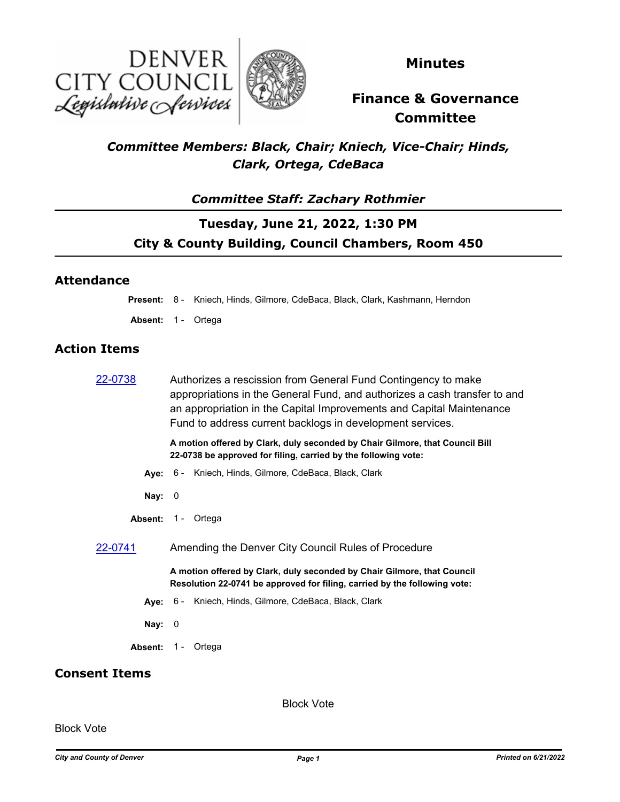



**Minutes**

# **Finance & Governance Committee**

### *Committee Members: Black, Chair; Kniech, Vice-Chair; Hinds, Clark, Ortega, CdeBaca*

### *Committee Staff: Zachary Rothmier*

## **Tuesday, June 21, 2022, 1:30 PM City & County Building, Council Chambers, Room 450**

### **Attendance**

**Present:** 8 - Kniech, Hinds, Gilmore, CdeBaca, Black, Clark, Kashmann, Herndon

Absent: 1 - Ortega

### **Action Items**

|         | A motion offered by Clark, duly seconded by Chair Gilmore, that Council Bill |
|---------|------------------------------------------------------------------------------|
|         | Fund to address current backlogs in development services.                    |
|         | an appropriation in the Capital Improvements and Capital Maintenance         |
|         | appropriations in the General Fund, and authorizes a cash transfer to and    |
| 22-0738 | Authorizes a rescission from General Fund Contingency to make                |

**22-0738 be approved for filing, carried by the following vote:**

- **Aye:** 6 Kniech, Hinds, Gilmore, CdeBaca, Black, Clark
- **Nay:** 0
- Absent: 1 Ortega
- [22-0741](http://denver.legistar.com/gateway.aspx?m=l&id=/matter.aspx?key=21808) Amending the Denver City Council Rules of Procedure

**A motion offered by Clark, duly seconded by Chair Gilmore, that Council Resolution 22-0741 be approved for filing, carried by the following vote:**

- **Aye:** 6 Kniech, Hinds, Gilmore, CdeBaca, Black, Clark
- **Nay:** 0
- Absent: 1 Ortega

### **Consent Items**

Block Vote

Block Vote